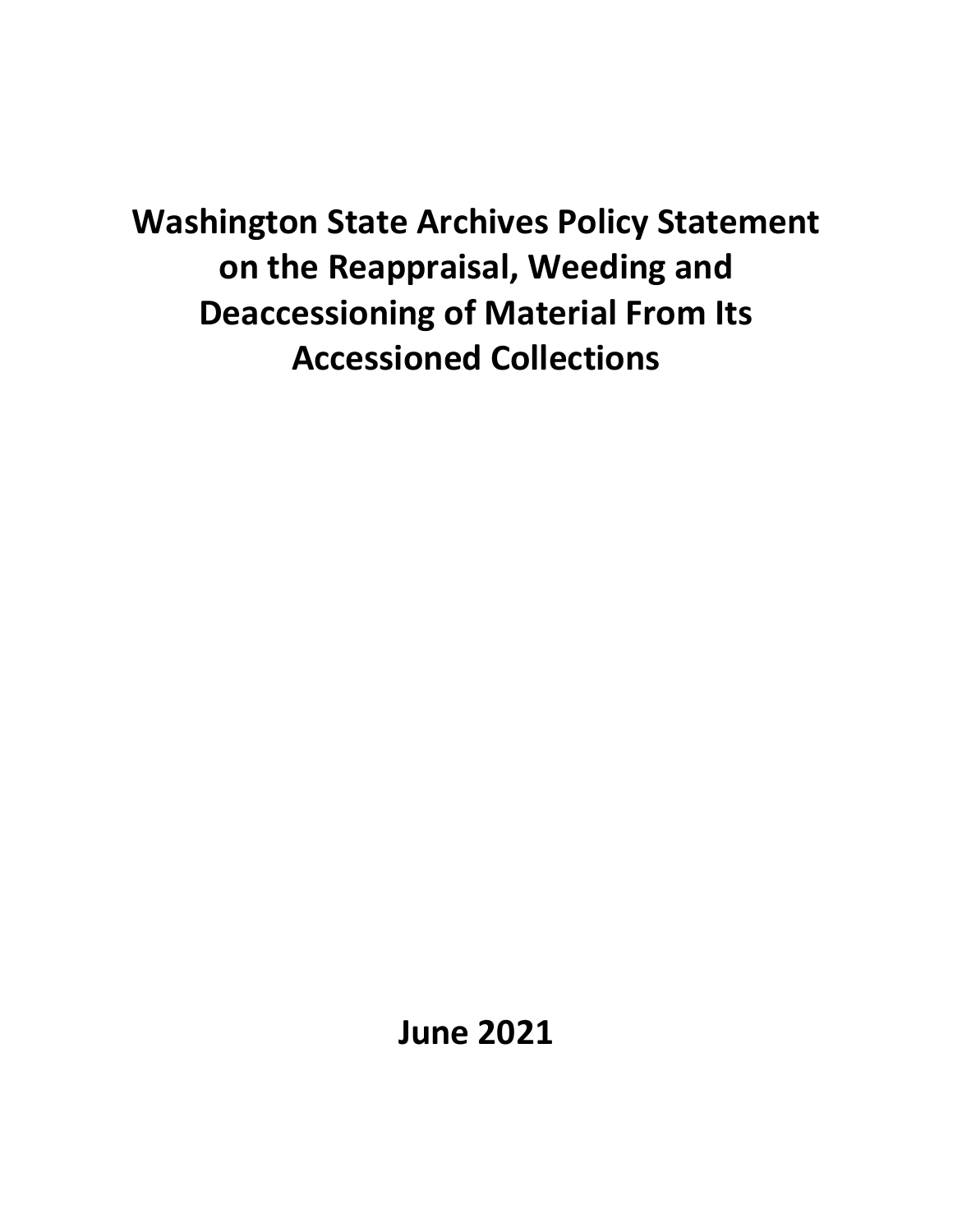**Washington State Archives Policy Statement on the Reappraisal, Weeding and Deaccessioning of Material From Its Accessioned Collections**

**June 2021**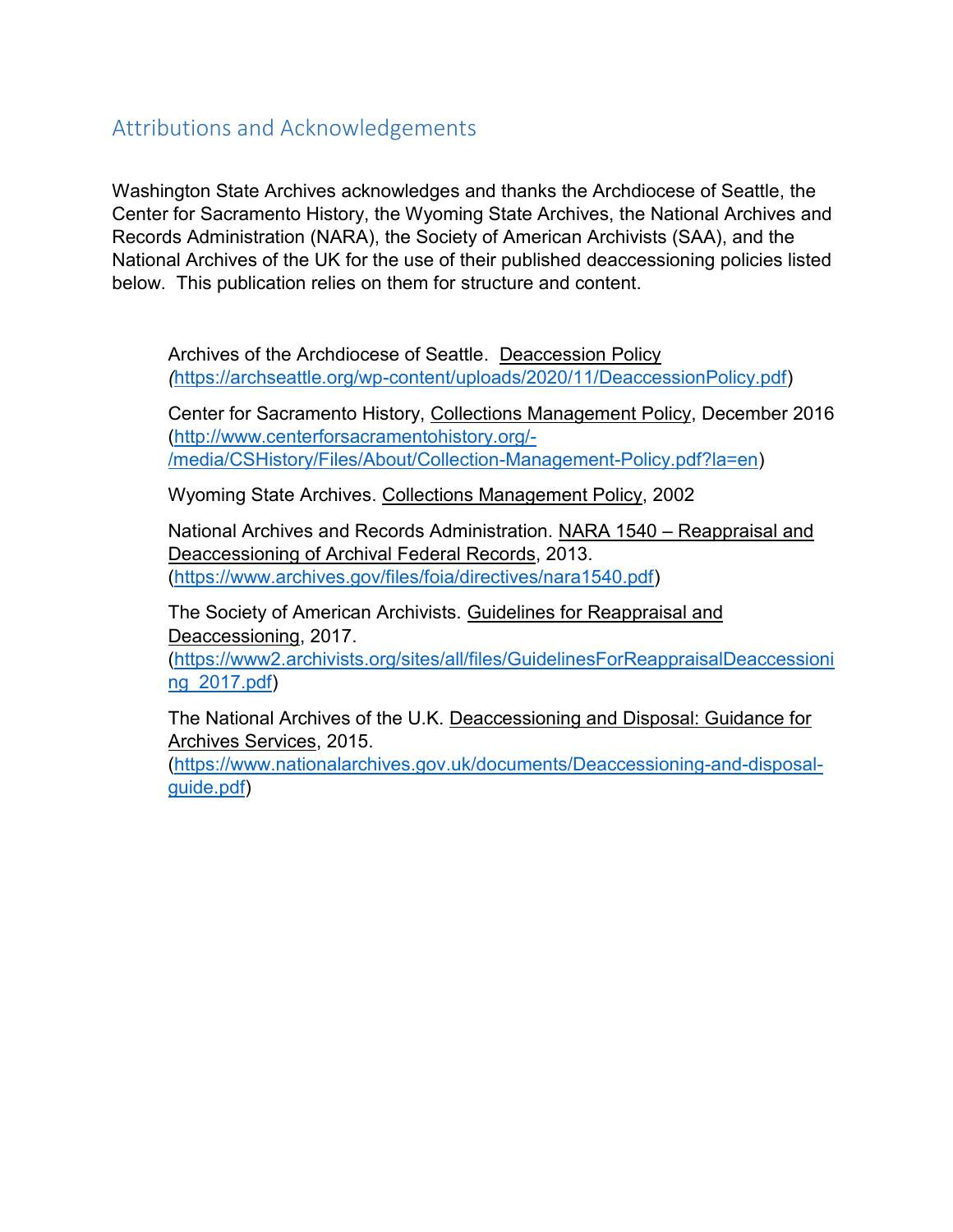# Attributions and Acknowledgements

Washington State Archives acknowledges and thanks the Archdiocese of Seattle, the Center for Sacramento History, the Wyoming State Archives, the National Archives and Records Administration (NARA), the Society of American Archivists (SAA), and the National Archives of the UK for the use of their published deaccessioning policies listed below. This publication relies on them for structure and content.

Archives of the Archdiocese of Seattle. Deaccession Policy *(*[https://archseattle.org/wp-content/uploads/2020/11/DeaccessionPolicy.pdf\)](https://archseattle.org/wp-content/uploads/2020/11/DeaccessionPolicy.pdf)

Center for Sacramento History, Collections Management Policy, December 2016 [\(http://www.centerforsacramentohistory.org/-](http://www.centerforsacramentohistory.org/-/media/CSHistory/Files/About/Collection-Management-Policy.pdf?la=en) [/media/CSHistory/Files/About/Collection-Management-Policy.pdf?la=en\)](http://www.centerforsacramentohistory.org/-/media/CSHistory/Files/About/Collection-Management-Policy.pdf?la=en)

Wyoming State Archives. Collections Management Policy, 2002

National Archives and Records Administration. NARA 1540 – Reappraisal and Deaccessioning of Archival Federal Records, 2013. (https://www.archives.gov/files/foia/directives/nara1540.pdf)

The Society of American Archivists. Guidelines for Reappraisal and Deaccessioning, 2017.

[\(https://www2.archivists.org/sites/all/files/GuidelinesForReappraisalDeaccessioni](https://www2.archivists.org/sites/all/files/GuidelinesForReappraisalDeaccessioning_2017.pdf) [ng\\_2017.pdf\)](https://www2.archivists.org/sites/all/files/GuidelinesForReappraisalDeaccessioning_2017.pdf)

The National Archives of the U.K. Deaccessioning and Disposal: Guidance for Archives Services, 2015.

(https://www.nationalarchives.gov.uk/documents/Deaccessioning-and-disposalguide.pdf)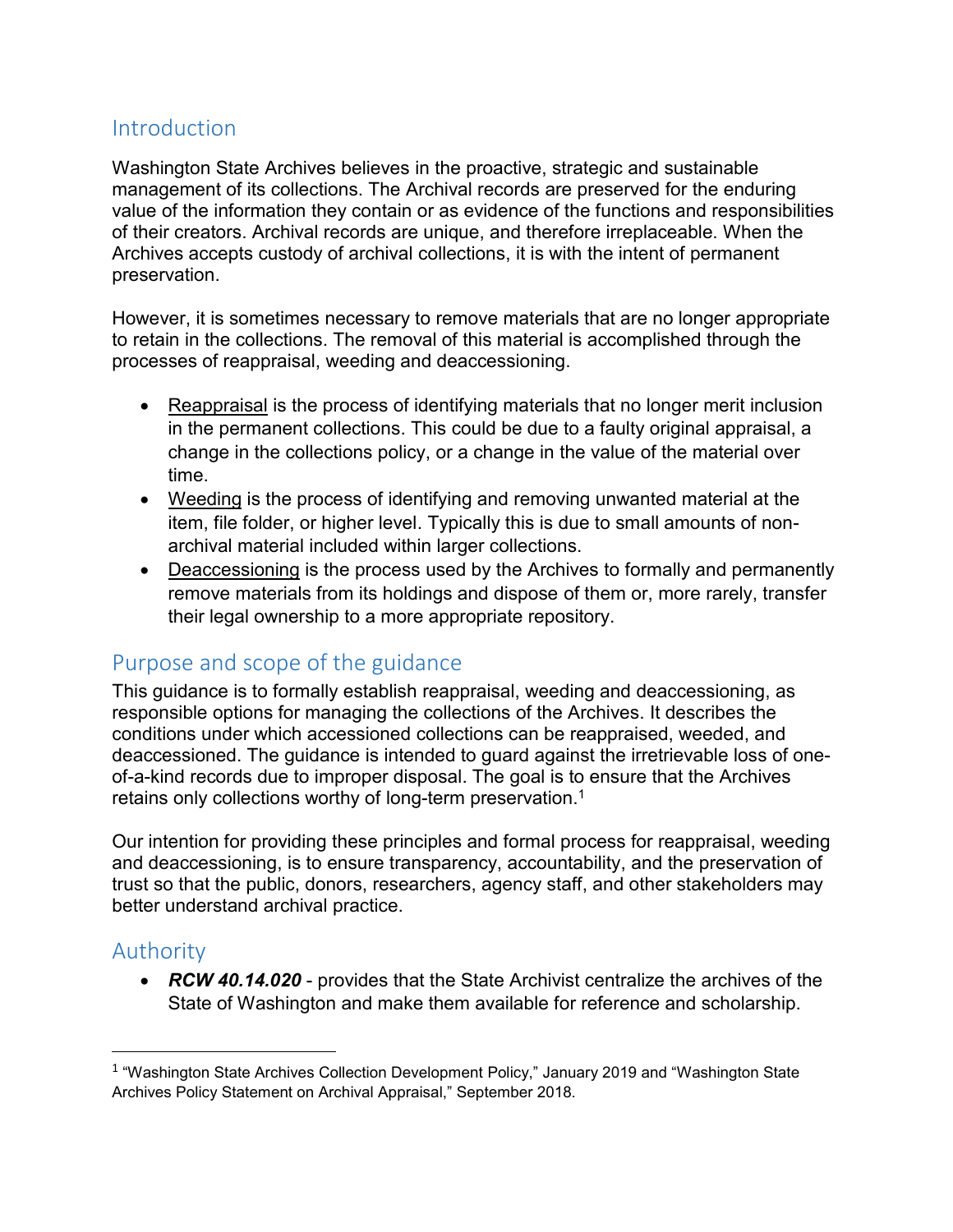## Introduction

Washington State Archives believes in the proactive, strategic and sustainable management of its collections. The Archival records are preserved for the enduring value of the information they contain or as evidence of the functions and responsibilities of their creators. Archival records are unique, and therefore irreplaceable. When the Archives accepts custody of archival collections, it is with the intent of permanent preservation.

However, it is sometimes necessary to remove materials that are no longer appropriate to retain in the collections. The removal of this material is accomplished through the processes of reappraisal, weeding and deaccessioning.

- Reappraisal is the process of identifying materials that no longer merit inclusion in the permanent collections. This could be due to a faulty original appraisal, a change in the collections policy, or a change in the value of the material over time.
- Weeding is the process of identifying and removing unwanted material at the item, file folder, or higher level. Typically this is due to small amounts of nonarchival material included within larger collections.
- Deaccessioning is the process used by the Archives to formally and permanently remove materials from its holdings and dispose of them or, more rarely, transfer their legal ownership to a more appropriate repository.

### Purpose and scope of the guidance

This guidance is to formally establish reappraisal, weeding and deaccessioning, as responsible options for managing the collections of the Archives. It describes the conditions under which accessioned collections can be reappraised, weeded, and deaccessioned. The guidance is intended to guard against the irretrievable loss of oneof-a-kind records due to improper disposal. The goal is to ensure that the Archives retains only collections worthy of long-term preservation.<sup>1</sup>

Our intention for providing these principles and formal process for reappraisal, weeding and deaccessioning, is to ensure transparency, accountability, and the preservation of trust so that the public, donors, researchers, agency staff, and other stakeholders may better understand archival practice.

# Authority

 $\overline{\phantom{a}}$ 

 *RCW 40.14.020* - provides that the State Archivist centralize the archives of the State of Washington and make them available for reference and scholarship.

 $1$  "Washington State Archives Collection Development Policy," January 2019 and "Washington State Archives Policy Statement on Archival Appraisal," September 2018.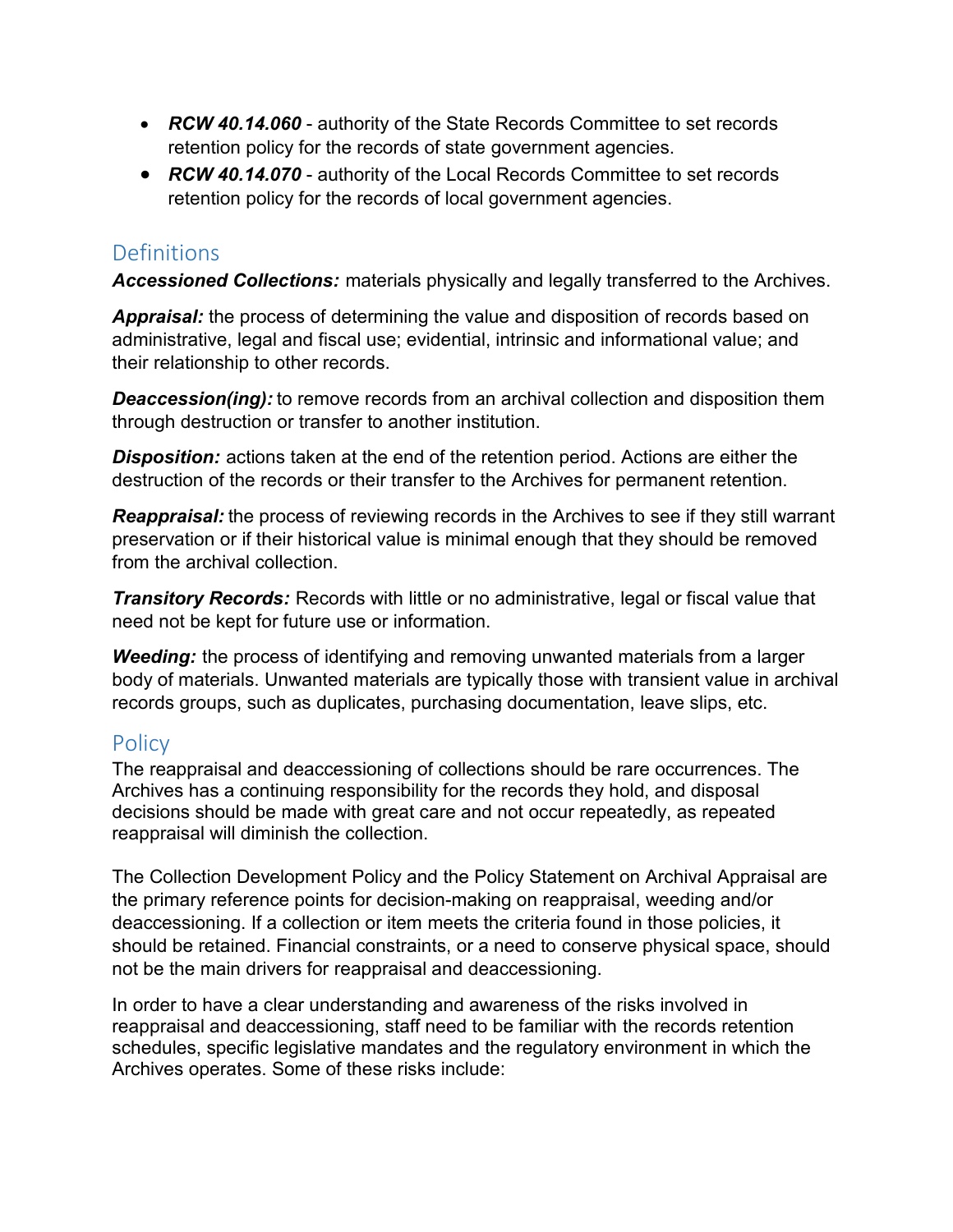- *RCW 40.14.060* authority of the State Records Committee to set records retention policy for the records of state government agencies.
- *RCW 40.14.070* authority of the Local Records Committee to set records retention policy for the records of local government agencies.

## **Definitions**

*Accessioned Collections:* materials physically and legally transferred to the Archives.

*Appraisal:* the process of determining the value and disposition of records based on administrative, legal and fiscal use; evidential, intrinsic and informational value; and their relationship to other records.

**Deaccession(ing):** to remove records from an archival collection and disposition them through destruction or transfer to another institution.

*Disposition:* actions taken at the end of the retention period. Actions are either the destruction of the records or their transfer to the Archives for permanent retention.

*Reappraisal:* the process of reviewing records in the Archives to see if they still warrant preservation or if their historical value is minimal enough that they should be removed from the archival collection.

**Transitory Records:** Records with little or no administrative, legal or fiscal value that need not be kept for future use or information.

*Weeding:* the process of identifying and removing unwanted materials from a larger body of materials. Unwanted materials are typically those with transient value in archival records groups, such as duplicates, purchasing documentation, leave slips, etc.

# **Policy**

The reappraisal and deaccessioning of collections should be rare occurrences. The Archives has a continuing responsibility for the records they hold, and disposal decisions should be made with great care and not occur repeatedly, as repeated reappraisal will diminish the collection.

The Collection Development Policy and the Policy Statement on Archival Appraisal are the primary reference points for decision-making on reappraisal, weeding and/or deaccessioning. If a collection or item meets the criteria found in those policies, it should be retained. Financial constraints, or a need to conserve physical space, should not be the main drivers for reappraisal and deaccessioning.

In order to have a clear understanding and awareness of the risks involved in reappraisal and deaccessioning, staff need to be familiar with the records retention schedules, specific legislative mandates and the regulatory environment in which the Archives operates. Some of these risks include: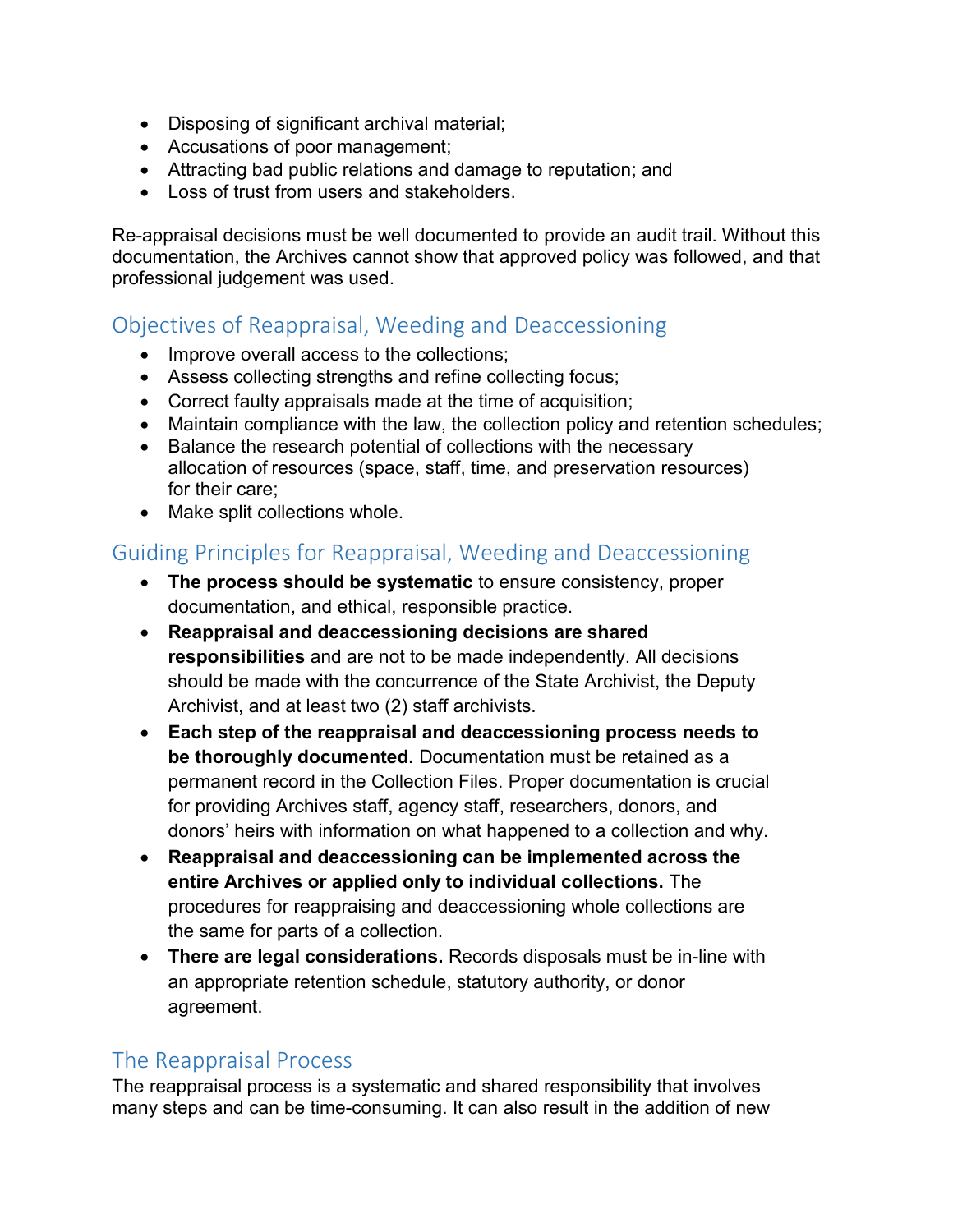- Disposing of significant archival material;
- Accusations of poor management;
- Attracting bad public relations and damage to reputation; and
- Loss of trust from users and stakeholders.

Re-appraisal decisions must be well documented to provide an audit trail. Without this documentation, the Archives cannot show that approved policy was followed, and that professional judgement was used.

### Objectives of Reappraisal, Weeding and Deaccessioning

- Improve overall access to the collections;
- Assess collecting strengths and refine collecting focus;
- Correct faulty appraisals made at the time of acquisition;
- Maintain compliance with the law, the collection policy and retention schedules;
- Balance the research potential of collections with the necessary allocation of resources (space, staff, time, and preservation resources) for their care;
- Make split collections whole.

### Guiding Principles for Reappraisal, Weeding and Deaccessioning

- **The process should be systematic** to ensure consistency, proper documentation, and ethical, responsible practice.
- **Reappraisal and deaccessioning decisions are shared responsibilities** and are not to be made independently. All decisions should be made with the concurrence of the State Archivist, the Deputy Archivist, and at least two (2) staff archivists.
- **Each step of the reappraisal and deaccessioning process needs to be thoroughly documented.** Documentation must be retained as a permanent record in the Collection Files. Proper documentation is crucial for providing Archives staff, agency staff, researchers, donors, and donors' heirs with information on what happened to a collection and why.
- **Reappraisal and deaccessioning can be implemented across the entire Archives or applied only to individual collections.** The procedures for reappraising and deaccessioning whole collections are the same for parts of a collection.
- **There are legal considerations.** Records disposals must be in-line with an appropriate retention schedule, statutory authority, or donor agreement.

### The Reappraisal Process

The reappraisal process is a systematic and shared responsibility that involves many steps and can be time-consuming. It can also result in the addition of new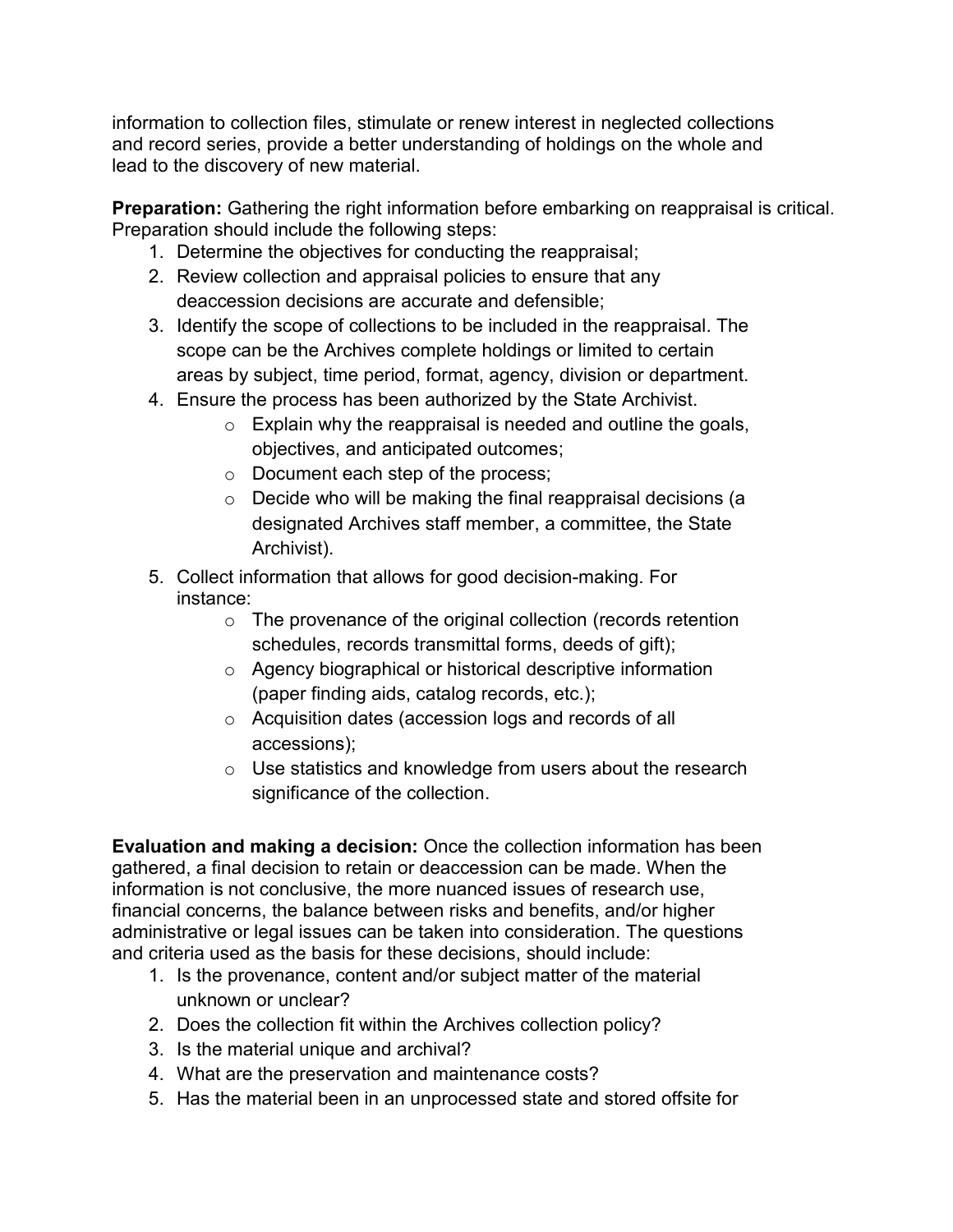information to collection files, stimulate or renew interest in neglected collections and record series, provide a better understanding of holdings on the whole and lead to the discovery of new material.

**Preparation:** Gathering the right information before embarking on reappraisal is critical. Preparation should include the following steps:

- 1. Determine the objectives for conducting the reappraisal;
- 2. Review collection and appraisal policies to ensure that any deaccession decisions are accurate and defensible;
- 3. Identify the scope of collections to be included in the reappraisal. The scope can be the Archives complete holdings or limited to certain areas by subject, time period, format, agency, division or department.
- 4. Ensure the process has been authorized by the State Archivist.
	- $\circ$  Explain why the reappraisal is needed and outline the goals, objectives, and anticipated outcomes;
	- o Document each step of the process;
	- o Decide who will be making the final reappraisal decisions (a designated Archives staff member, a committee, the State Archivist).
- 5. Collect information that allows for good decision-making. For instance:
	- $\circ$  The provenance of the original collection (records retention schedules, records transmittal forms, deeds of gift);
	- o Agency biographical or historical descriptive information (paper finding aids, catalog records, etc.);
	- o Acquisition dates (accession logs and records of all accessions);
	- o Use statistics and knowledge from users about the research significance of the collection.

**Evaluation and making a decision:** Once the collection information has been gathered, a final decision to retain or deaccession can be made. When the information is not conclusive, the more nuanced issues of research use, financial concerns, the balance between risks and benefits, and/or higher administrative or legal issues can be taken into consideration. The questions and criteria used as the basis for these decisions, should include:

- 1. Is the provenance, content and/or subject matter of the material unknown or unclear?
- 2. Does the collection fit within the Archives collection policy?
- 3. Is the material unique and archival?
- 4. What are the preservation and maintenance costs?
- 5. Has the material been in an unprocessed state and stored offsite for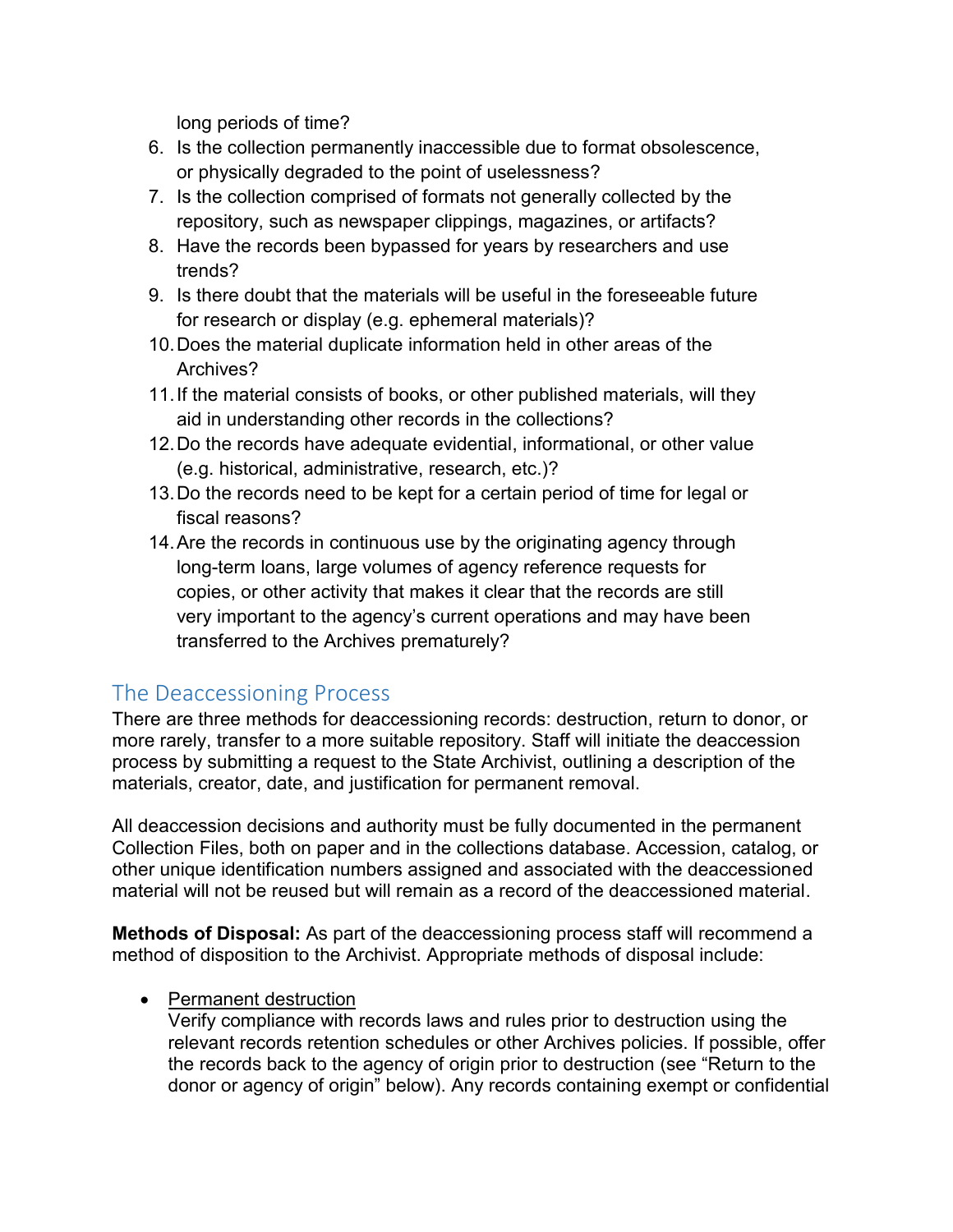long periods of time?

- 6. Is the collection permanently inaccessible due to format obsolescence, or physically degraded to the point of uselessness?
- 7. Is the collection comprised of formats not generally collected by the repository, such as newspaper clippings, magazines, or artifacts?
- 8. Have the records been bypassed for years by researchers and use trends?
- 9. Is there doubt that the materials will be useful in the foreseeable future for research or display (e.g. ephemeral materials)?
- 10.Does the material duplicate information held in other areas of the Archives?
- 11.If the material consists of books, or other published materials, will they aid in understanding other records in the collections?
- 12.Do the records have adequate evidential, informational, or other value (e.g. historical, administrative, research, etc.)?
- 13.Do the records need to be kept for a certain period of time for legal or fiscal reasons?
- 14.Are the records in continuous use by the originating agency through long-term loans, large volumes of agency reference requests for copies, or other activity that makes it clear that the records are still very important to the agency's current operations and may have been transferred to the Archives prematurely?

# The Deaccessioning Process

There are three methods for deaccessioning records: destruction, return to donor, or more rarely, transfer to a more suitable repository. Staff will initiate the deaccession process by submitting a request to the State Archivist, outlining a description of the materials, creator, date, and justification for permanent removal.

All deaccession decisions and authority must be fully documented in the permanent Collection Files, both on paper and in the collections database. Accession, catalog, or other unique identification numbers assigned and associated with the deaccessioned material will not be reused but will remain as a record of the deaccessioned material.

**Methods of Disposal:** As part of the deaccessioning process staff will recommend a method of disposition to the Archivist. Appropriate methods of disposal include:

#### • Permanent destruction

Verify compliance with records laws and rules prior to destruction using the relevant records retention schedules or other Archives policies. If possible, offer the records back to the agency of origin prior to destruction (see "Return to the donor or agency of origin" below). Any records containing exempt or confidential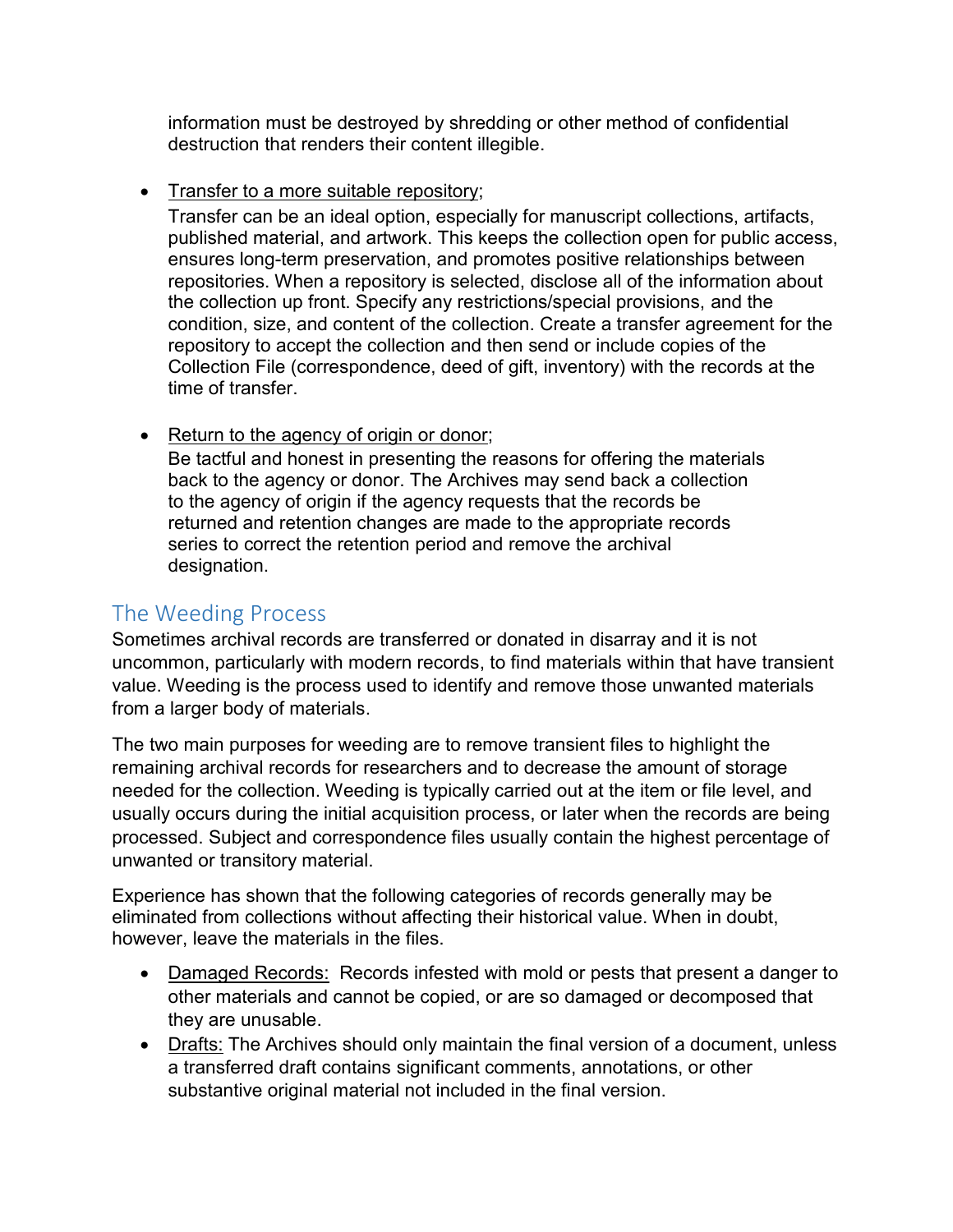information must be destroyed by shredding or other method of confidential destruction that renders their content illegible.

• Transfer to a more suitable repository;

Transfer can be an ideal option, especially for manuscript collections, artifacts, published material, and artwork. This keeps the collection open for public access, ensures long-term preservation, and promotes positive relationships between repositories. When a repository is selected, disclose all of the information about the collection up front. Specify any restrictions/special provisions, and the condition, size, and content of the collection. Create a transfer agreement for the repository to accept the collection and then send or include copies of the Collection File (correspondence, deed of gift, inventory) with the records at the time of transfer.

• Return to the agency of origin or donor;

Be tactful and honest in presenting the reasons for offering the materials back to the agency or donor. The Archives may send back a collection to the agency of origin if the agency requests that the records be returned and retention changes are made to the appropriate records series to correct the retention period and remove the archival designation.

# The Weeding Process

Sometimes archival records are transferred or donated in disarray and it is not uncommon, particularly with modern records, to find materials within that have transient value. Weeding is the process used to identify and remove those unwanted materials from a larger body of materials.

The two main purposes for weeding are to remove transient files to highlight the remaining archival records for researchers and to decrease the amount of storage needed for the collection. Weeding is typically carried out at the item or file level, and usually occurs during the initial acquisition process, or later when the records are being processed. Subject and correspondence files usually contain the highest percentage of unwanted or transitory material.

Experience has shown that the following categories of records generally may be eliminated from collections without affecting their historical value. When in doubt, however, leave the materials in the files.

- Damaged Records: Records infested with mold or pests that present a danger to other materials and cannot be copied, or are so damaged or decomposed that they are unusable.
- Drafts: The Archives should only maintain the final version of a document, unless a transferred draft contains significant comments, annotations, or other substantive original material not included in the final version.